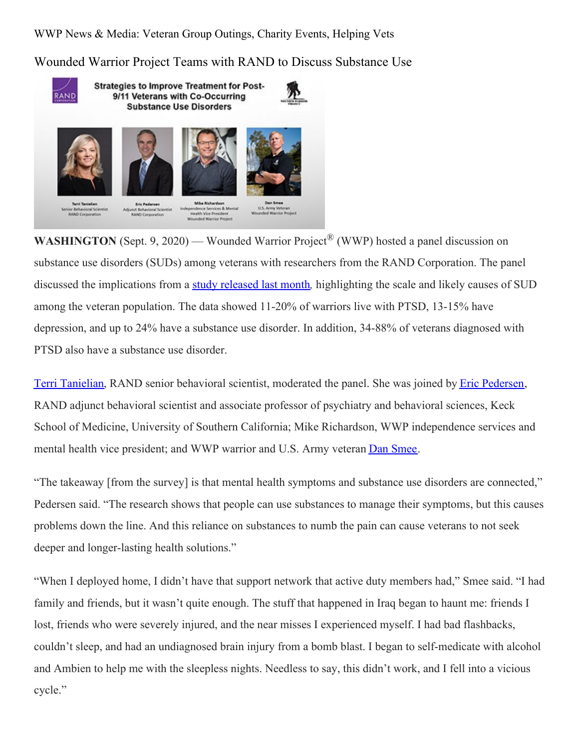WWP News & Media: Veteran Group Outings, Charity Events, Helping Vets

Wounded Warrior Project Teams with RAND to Discuss Substance Use



**WASHINGTON** (Sept. 9, 2020) — Wounded Warrior Project<sup>®</sup> (WWP) hosted a panel discussion on substance use disorders (SUDs) among veterans with researchers from the RAND Corporation. The panel discussed the implications from a study [released](https://www.rand.org/pubs/research_briefs/RB10132.html) last month*,* highlighting the scale and likely causes of SUD among the veteran population. The data showed 11-20% of warriors live with PTSD, 13-15% have depression, and up to 24% have a substance use disorder. In addition, 34-88% of veterans diagnosed with PTSD also have a substance use disorder.

Terri [Tanielian](https://www.rand.org/pubs/authors/t/tanielian_terri.html), RAND senior behavioral scientist, moderated the panel. She was joined by Eric [Pedersen](https://www.rand.org/about/people/p/pedersen_eric_r.html), RAND adjunct behavioral scientist and associate professor of psychiatry and behavioral sciences, Keck School of Medicine, University of Southern California; Mike Richardson, WWP independence services and mental health vice president; and WWP warrior and U.S. Army veteran Dan [Smee](https://www.woundedwarriorproject.org/mission/meet-a-warrior/dan-smee).

"The takeaway [from the survey] is that mental health symptoms and substance use disorders are connected," Pedersen said. "The research shows that people can use substances to manage their symptoms, but this causes problems down the line. And this reliance on substances to numb the pain can cause veterans to not seek deeper and longer-lasting health solutions."

"When I deployed home, I didn't have that support network that active duty members had," Smee said. "I had family and friends, but it wasn't quite enough. The stuff that happened in Iraq began to haunt me: friends I lost, friends who were severely injured, and the near misses I experienced myself. I had bad flashbacks, couldn't sleep, and had an undiagnosed brain injury from a bomb blast. I began to self-medicate with alcohol and Ambien to help me with the sleepless nights. Needless to say, this didn't work, and I fell into a vicious cycle."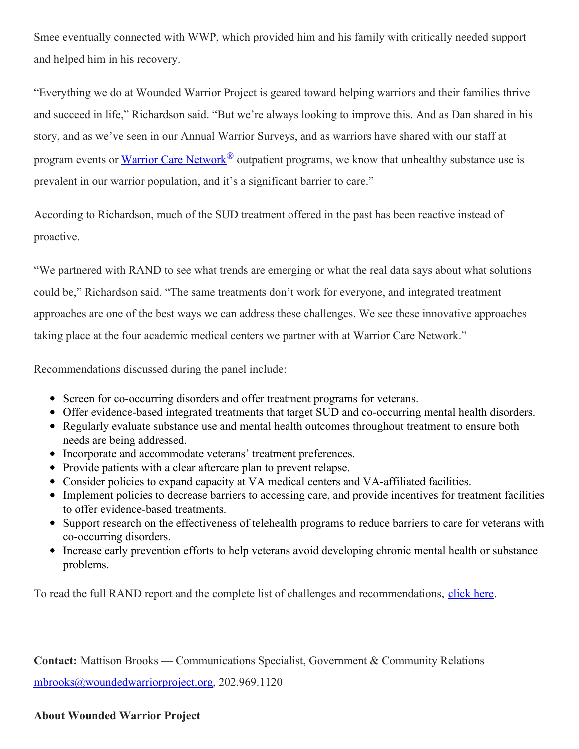Smee eventually connected with WWP, which provided him and his family with critically needed support and helped him in his recovery.

"Everything we do at Wounded Warrior Project is geared toward helping warriors and their families thrive and succeed in life," Richardson said. "But we're always looking to improve this. And as Dan shared in his story, and as we've seen in our Annual Warrior Surveys, and as warriors have shared with our staff at program events or Warrior Care [Network](https://www.woundedwarriorproject.org/programs/warrior-care-network)<sup>®</sup> outpatient programs, we know that unhealthy substance use is prevalent in our warrior population, and it's a significant barrier to care."

According to Richardson, much of the SUD treatment offered in the past has been reactive instead of proactive.

"We partnered with RAND to see what trends are emerging or what the real data says about what solutions could be," Richardson said. "The same treatments don't work for everyone, and integrated treatment approaches are one of the best ways we can address these challenges. We see these innovative approaches taking place at the four academic medical centers we partner with at Warrior Care Network."

Recommendations discussed during the panel include:

- Screen for co-occurring disorders and offer treatment programs for veterans.
- Offer evidence-based integrated treatments that target SUD and co-occurring mental health disorders.
- Regularly evaluate substance use and mental health outcomes throughout treatment to ensure both needs are being addressed.
- Incorporate and accommodate veterans' treatment preferences.
- Provide patients with a clear aftercare plan to prevent relapse.
- Consider policies to expand capacity at VA medical centers and VA-affiliated facilities.
- Implement policies to decrease barriers to accessing care, and provide incentives for treatment facilities to offer evidence-based treatments.
- Support research on the effectiveness of telehealth programs to reduce barriers to care for veterans with co-occurring disorders.
- Increase early prevention efforts to help veterans avoid developing chronic mental health or substance problems.

To read the full RAND report and the complete list of challenges and recommendations, [click](https://www.rand.org/pubs/research_reports/RR4354.html) here.

**Contact:** Mattison Brooks — Communications Specialist, Government & Community Relations

[mbrooks@woundedwarriorproject.org](mailto:mbrooks@woundedwarriorproject.org), 202.969.1120

## **About Wounded Warrior Project**